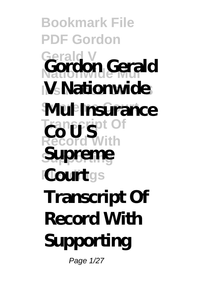## **Bookmark File PDF Gordon Gerald V Nationwide Mul Gordon Gerald IM** Nationwide **Mul Insurance**  $CotS^{\text{tot of}}_{\text{out}}$ **Record With Supporting Court**gs **Supreme Transcript Of Record With Supporting**

Page 1/27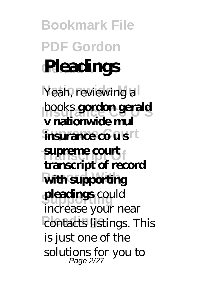**Bookmark File PDF Gordon Gerald V Pleadings** Yeah, reviewing a **books gordon gerald**  $\mathbf{\hat{n}}$ **surance co us**rt **Transcript Of supreme court Rith supporting pleadings** could **Pontacts listings. This v nationwide mul transcript of record** increase your near is just one of the solutions for you to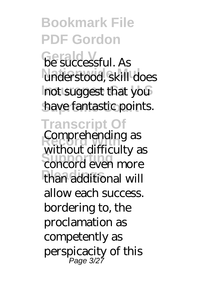**Bookmark File PDF Gordon Gerald Successful. As** understood, skill does not suggest that you have fantastic points. **Transcript Of Comprehending as** with our carrieting as **Pleadings** than additional will without difficulty as allow each success. bordering to, the proclamation as competently as perspicacity of this Page 3/27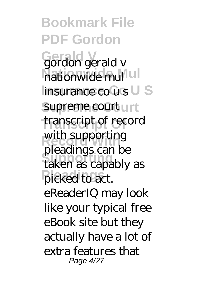**Bookmark File PDF Gordon Gerald V** gordon gerald v **Nationwide Mul** nationwide mul **Insurance Co U S** insurance co u s supreme court unt **Transcript Of** transcript of record with supporting **Supporting** taken as capably as **Plead** to act. pleadings can be eReaderIQ may look like your typical free eBook site but they actually have a lot of extra features that Page 4/27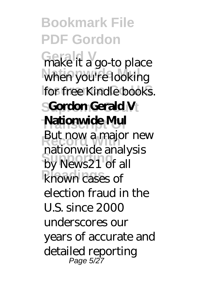**Bookmark File PDF Gordon** Grake it a go-to place when you're looking for free Kindle books. **SGordon Gerald V Transcript Of Nationwide Mul Put How a Hiajor He**<br>
nationwide analysis by News21 of all known cases of But now a major new election fraud in the U.S. since 2000 underscores our years of accurate and detailed reporting Page 5/27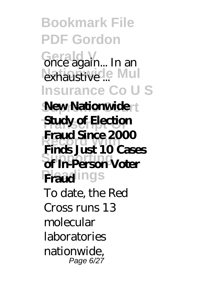**Bookmark File PDF Gordon Gerald V** once again... In an exhaustive ... Mul **Insurance Co U S New Nationwide Study of Election Record With Finds Just 10 Cases Supporting of In-Person Voter Fraudings Fraud Since 2000** To date, the Red Cross runs 13 molecular laboratories nationwide, Page 6/27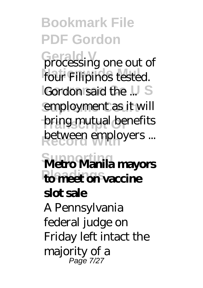**Bookmark File PDF Gordon Grocessing one out of** four Filipinos tested. **IGordon said the ...** S employment as it will bring mutual benefits between employers ... **Supporting Metro Manila mayors Please on vaccine slot sale** A Pennsylvania

federal judge on Friday left intact the majority of a Page 7/27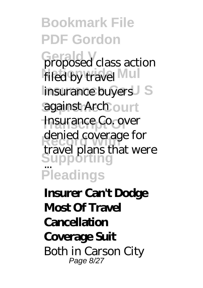**Bookmark File PDF Gordon Graphosed** class action filed by travel Mul **Insurance buyers** S against Arch ourt **Insurance Co. over Record Coverage Supporting Pleadings** denied coverage for travel plans that were ...

**Insurer Can't Dodge Most Of Travel Cancellation Coverage Suit** Both in Carson City Page 8/27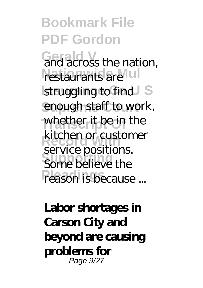**Bookmark File PDF Gordon Grad across the nation,** restaurants are ul struggling to find S enough staff to work, whether it be in the **kitchen or customer** Some believe the **Pleason is because ...** service positions.

**Labor shortages in Carson City and beyond are causing problems for** Page 9/27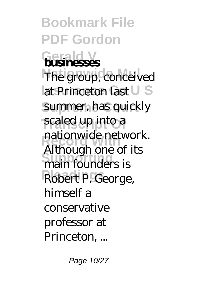**Bookmark File PDF Gordon Gerald V businesses** The group, conceived **Insurance Co I S** summer, has quickly scaled up into a **Record With** Although one of its **Supporting** main founders is **Pleadings** Robert P. George, nationwide network. himself a conservative professor at Princeton, ...

Page 10/27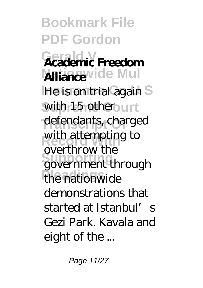**Bookmark File PDF Gordon Gerald V Academic Freedom Alliance**vide Mul **He is on trial again S** with 15 other<sub>ourt</sub> defendants, charged with attempting to **Supporting** government through the nationwide overthrow the demonstrations that started at Istanbul's Gezi Park. Kavala and eight of the ...

Page 11/27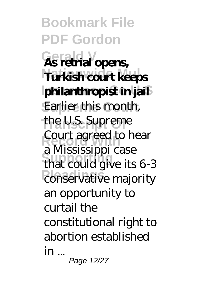**Bookmark File PDF Gordon Gerald V As retrial opens, Nationwide Mul Turkish court keeps Insurance Co U S philanthropist in jail** Earlier this month, **Transcript Of** the U.S. Supreme **Court agreed to hear Supporting** that could give its 6-3 **Pleading** conservative majority a Mississippi case an opportunity to curtail the constitutional right to abortion established in ... Page 12/27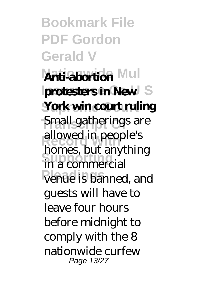**Bookmark File PDF Gordon Gerald V Anti-abortion Mul protesters in New** S **York win court ruling** Small gatherings are allowed in people's **Supporting** in a commercial **Pleadings** venue is banned, and homes, but anything guests will have to leave four hours before midnight to comply with the 8 nationwide curfew Page 13/27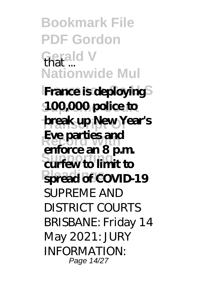**Bookmark File PDF Gordon Gerald V** that ... **Nationwide Mul France is deploying Supreme Court 100,000 police to break up New Year's Record With Eve parties and Supporting curfew to limit to Pleadings spread of COVID-19 enforce an 8 p.m.** SI **IPREME AND** DISTRICT COURTS BRISBANE: Friday 14 May 2021: JURY INFORMATION: Page 14/27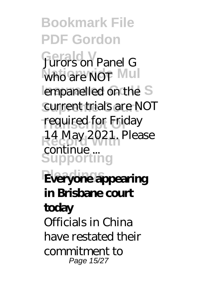**Bookmark File PDF Gordon Gerald V** Jurors on Panel G who are NOT Mul empanelled on the S current trials are NOT required for Friday **Record With** 14 May 2021. Please **Supporting Pleadings Everyone appearing** continue ...

**in Brisbane court**

**today** Officials in China have restated their commitment to Page 15/27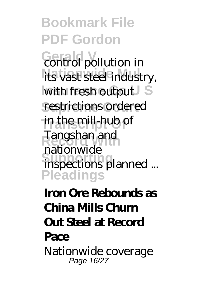**Bookmark File PDF Gordon Germald** pollution in its vast steel industry, with fresh output restrictions ordered in the mill-hub of **Record With** Tangshan and **Supporting** inspections planned ... **Pleadings** nationwide

## **Iron Ore Rebounds as China Mills Churn Out Steel at Record Pace** Nationwide coverage Page 16/27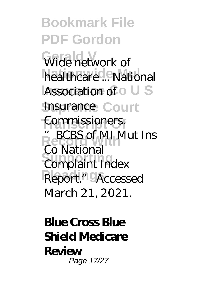**Bookmark File PDF Gordon** Wide network of healthcare<sup>d</sup>... National **Association of O U S Insurance Court** Commissioners. **" BCBS of MI Mut Ins Complaint Index** Report." Accessed Co National March 21, 2021.

**Blue Cross Blue Shield Medicare Review** Page 17/27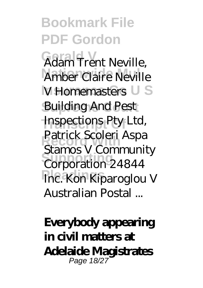**Bookmark File PDF Gordon Adam Trent Neville, Amber Claire Neville V** Homemasters U S **Building And Pest Transcript Of** Inspections Pty Ltd, Patrick Scoleri Aspa **Supporting** Corporation 24844 **Fre. Kon Kiparoglou V** Stamos V Community Australian Postal ...

**Everybody appearing in civil matters at Adelaide Magistrates** Page 18/27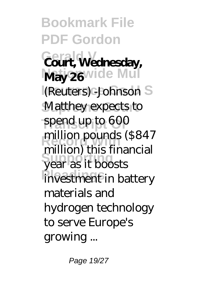**Bookmark File PDF Gordon Gerald V Court, Wednesday,** May 26 vide Mul **I**(Reuters) -Johnson S **Matthey expects to Transcript Of** spend up to 600 million pounds (\$847 **Supporting** year as it boosts **Privestment in battery** million) this financial materials and hydrogen technology to serve Europe's growing ...

Page 19/27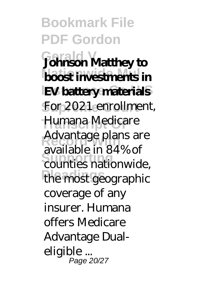**Bookmark File PDF Gordon Gerald V Johnson Matthey to boost investments in IEV battery materials** For 2021 enrollment, **Transcript Of** Humana Medicare Advantage plans are **Supporting** counties nationwide, the most geographic available in 84% of coverage of any insurer. Humana offers Medicare Advantage Dualeligible ... Page 20/27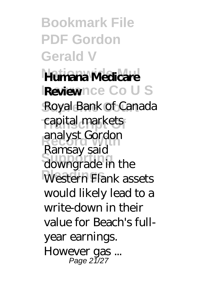**Bookmark File PDF Gordon Gerald V Nationwide Mul Humana Medicare Insurance Co U S Review** Royal Bank of Canada **Transcript Of** capital markets **Record With** analyst Gordon downgrade in the Western Flank assets Ramsay said would likely lead to a write-down in their value for Beach's fullyear earnings. However gas ... Page 21/27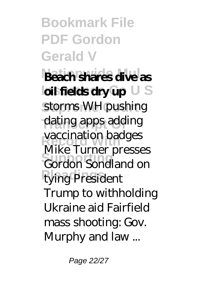**Bookmark File PDF Gordon Gerald V Beach shares dive as lail fields dry up** U S storms WH pushing dating apps adding vaccination badges **Supporting** Gordon Sondland on **tying President** Mike Turner presses Trump to withholding Ukraine aid Fairfield mass shooting: Gov. Murphy and law ...

Page 22/27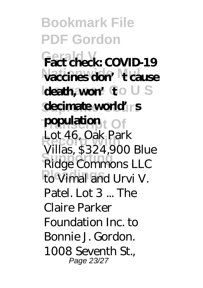**Bookmark File PDF Gordon Gerald V Fact check: COVID-19 Nationwide Mul vaccines don't cause Ideath, won't** to U S **decimate world** rs **Transcript Of population** Lot 46, Oak Park<br>
Will 6284, 000 **Ridge Commons LLC FloVimal and Urvi V.** Villas, \$324,900 Blue Patel. Lot 3 ... The Claire Parker Foundation Inc. to Bonnie J. Gordon. 1008 Seventh St., Page 23/27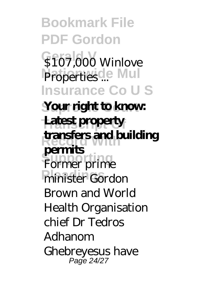**Bookmark File PDF Gordon S107,000 Winlove Properties**<sup>...</sup> Mul **Insurance Co U S Your right to know: Transcript Of Latest property Record With transfers and building Former** prime **Phinister Gordon permits** Brown and World Health Organisation chief Dr Tedros Adhanom Ghebreyesus have Page 24/27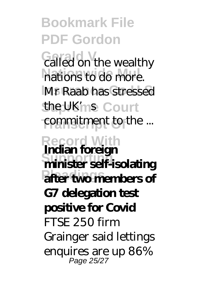**Bookmark File PDF Gordon Galled on the wealthy** nations to do more. **Mr Raab has stressed** the UK'ms Court commitment to the ... **Record With Supporting minister self-isolating Plaat two members of Indian foreign G7 delegation test positive for Covid** FTSE 250 firm Grainger said lettings enquires are up 86% Page 25/27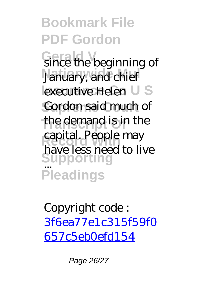**Bookmark File PDF Gordon Gerald the beginning of** January, and chief lexecutive Helen U S Gordon said much of the demand is in the **Record With** have less need to live **Supporting** ... **Pleadings** capital. People may

Copyright code : [3f6ea77e1c315f59f0](/search-book/3f6ea77e1c315f59f0657c5eb0efd154) [657c5eb0efd154](/search-book/3f6ea77e1c315f59f0657c5eb0efd154)

Page 26/27